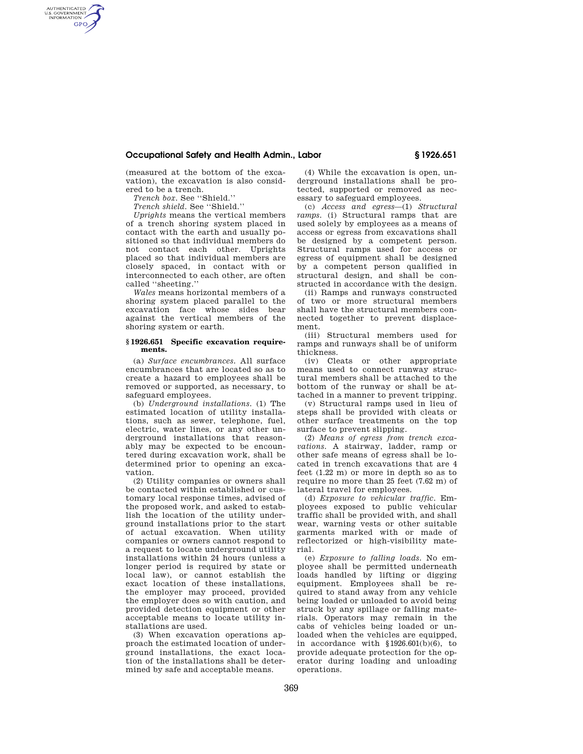## **Occupational Safety and Health Admin., Labor § 1926.651**

(measured at the bottom of the excavation), the excavation is also considered to be a trench.

*Trench box.* See ''Shield.''

AUTHENTICATED<br>U.S. GOVERNMENT<br>INFORMATION **GPO** 

*Trench shield.* See ''Shield.''

*Uprights* means the vertical members of a trench shoring system placed in contact with the earth and usually positioned so that individual members do not contact each other. Uprights placed so that individual members are closely spaced, in contact with or interconnected to each other, are often called ''sheeting.''

*Wales* means horizontal members of a shoring system placed parallel to the excavation face whose sides bear against the vertical members of the shoring system or earth.

## **§ 1926.651 Specific excavation requirements.**

(a) *Surface encumbrances.* All surface encumbrances that are located so as to create a hazard to employees shall be removed or supported, as necessary, to safeguard employees.

(b) *Underground installations.* (1) The estimated location of utility installations, such as sewer, telephone, fuel, electric, water lines, or any other underground installations that reasonably may be expected to be encountered during excavation work, shall be determined prior to opening an excavation.

(2) Utility companies or owners shall be contacted within established or customary local response times, advised of the proposed work, and asked to establish the location of the utility underground installations prior to the start of actual excavation. When utility companies or owners cannot respond to a request to locate underground utility installations within 24 hours (unless a longer period is required by state or local law), or cannot establish the exact location of these installations, the employer may proceed, provided the employer does so with caution, and provided detection equipment or other acceptable means to locate utility installations are used.

(3) When excavation operations approach the estimated location of underground installations, the exact location of the installations shall be determined by safe and acceptable means.

(4) While the excavation is open, underground installations shall be protected, supported or removed as necessary to safeguard employees.

(c) *Access and egress*—(1) *Structural ramps.* (i) Structural ramps that are used solely by employees as a means of access or egress from excavations shall be designed by a competent person. Structural ramps used for access or egress of equipment shall be designed by a competent person qualified in structural design, and shall be constructed in accordance with the design.

(ii) Ramps and runways constructed of two or more structural members shall have the structural members connected together to prevent displacement.

(iii) Structural members used for ramps and runways shall be of uniform thickness.

(iv) Cleats or other appropriate means used to connect runway structural members shall be attached to the bottom of the runway or shall be attached in a manner to prevent tripping.

(v) Structural ramps used in lieu of steps shall be provided with cleats or other surface treatments on the top surface to prevent slipping.

(2) *Means of egress from trench excavations.* A stairway, ladder, ramp or other safe means of egress shall be located in trench excavations that are 4 feet (1.22 m) or more in depth so as to require no more than 25 feet (7.62 m) of lateral travel for employees.

(d) *Exposure to vehicular traffic.* Employees exposed to public vehicular traffic shall be provided with, and shall wear, warning vests or other suitable garments marked with or made of reflectorized or high-visibility material.

(e) *Exposure to falling loads.* No employee shall be permitted underneath loads handled by lifting or digging equipment. Employees shall be required to stand away from any vehicle being loaded or unloaded to avoid being struck by any spillage or falling materials. Operators may remain in the cabs of vehicles being loaded or unloaded when the vehicles are equipped, in accordance with  $$1926.601(b)(6)$ , to provide adequate protection for the operator during loading and unloading operations.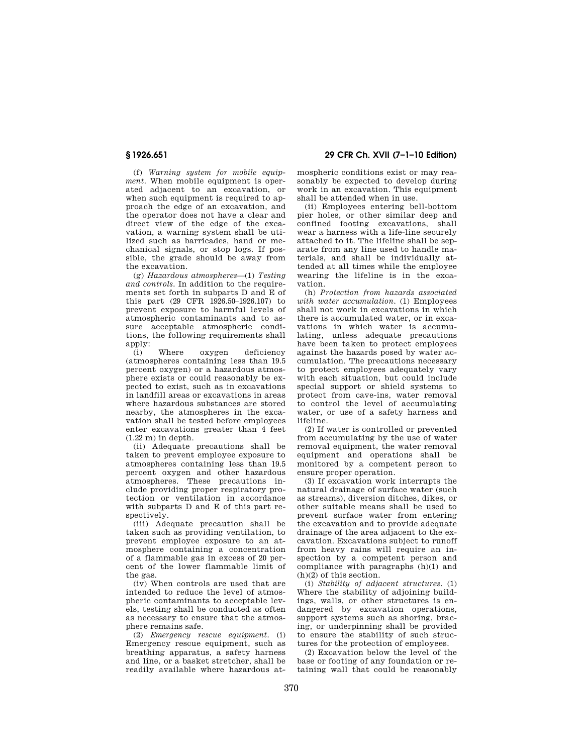**§ 1926.651 29 CFR Ch. XVII (7–1–10 Edition)** 

(f) *Warning system for mobile equipment.* When mobile equipment is operated adjacent to an excavation, or when such equipment is required to approach the edge of an excavation, and the operator does not have a clear and direct view of the edge of the excavation, a warning system shall be utilized such as barricades, hand or mechanical signals, or stop logs. If possible, the grade should be away from the excavation.

(g) *Hazardous atmospheres*—(1) *Testing and controls.* In addition to the requirements set forth in subparts D and E of this part (29 CFR 1926.50–1926.107) to prevent exposure to harmful levels of atmospheric contaminants and to assure acceptable atmospheric conditions, the following requirements shall apply:

(i) Where oxygen deficiency (atmospheres containing less than 19.5 percent oxygen) or a hazardous atmosphere exists or could reasonably be expected to exist, such as in excavations in landfill areas or excavations in areas where hazardous substances are stored nearby, the atmospheres in the excavation shall be tested before employees enter excavations greater than 4 feet  $(1.22 \text{ m})$  in depth.

(ii) Adequate precautions shall be taken to prevent employee exposure to atmospheres containing less than 19.5 percent oxygen and other hazardous atmospheres. These precautions include providing proper respiratory protection or ventilation in accordance with subparts D and E of this part respectively.

(iii) Adequate precaution shall be taken such as providing ventilation, to prevent employee exposure to an atmosphere containing a concentration of a flammable gas in excess of 20 percent of the lower flammable limit of the gas.

(iv) When controls are used that are intended to reduce the level of atmospheric contaminants to acceptable levels, testing shall be conducted as often as necessary to ensure that the atmosphere remains safe.

(2) *Emergency rescue equipment.* (i) Emergency rescue equipment, such as breathing apparatus, a safety harness and line, or a basket stretcher, shall be readily available where hazardous atmospheric conditions exist or may reasonably be expected to develop during work in an excavation. This equipment shall be attended when in use.

(ii) Employees entering bell-bottom pier holes, or other similar deep and confined footing excavations, shall wear a harness with a life-line securely attached to it. The lifeline shall be separate from any line used to handle materials, and shall be individually attended at all times while the employee wearing the lifeline is in the excavation.

(h) *Protection from hazards associated with water accumulation.* (1) Employees shall not work in excavations in which there is accumulated water, or in excavations in which water is accumulating, unless adequate precautions have been taken to protect employees against the hazards posed by water accumulation. The precautions necessary to protect employees adequately vary with each situation, but could include special support or shield systems to protect from cave-ins, water removal to control the level of accumulating water, or use of a safety harness and lifeline.

(2) If water is controlled or prevented from accumulating by the use of water removal equipment, the water removal equipment and operations shall be monitored by a competent person to ensure proper operation.

(3) If excavation work interrupts the natural drainage of surface water (such as streams), diversion ditches, dikes, or other suitable means shall be used to prevent surface water from entering the excavation and to provide adequate drainage of the area adjacent to the excavation. Excavations subject to runoff from heavy rains will require an inspection by a competent person and compliance with paragraphs (h)(1) and (h)(2) of this section.

(i) *Stability of adjacent structures.* (1) Where the stability of adjoining buildings, walls, or other structures is endangered by excavation operations, support systems such as shoring, bracing, or underpinning shall be provided to ensure the stability of such structures for the protection of employees.

(2) Excavation below the level of the base or footing of any foundation or retaining wall that could be reasonably